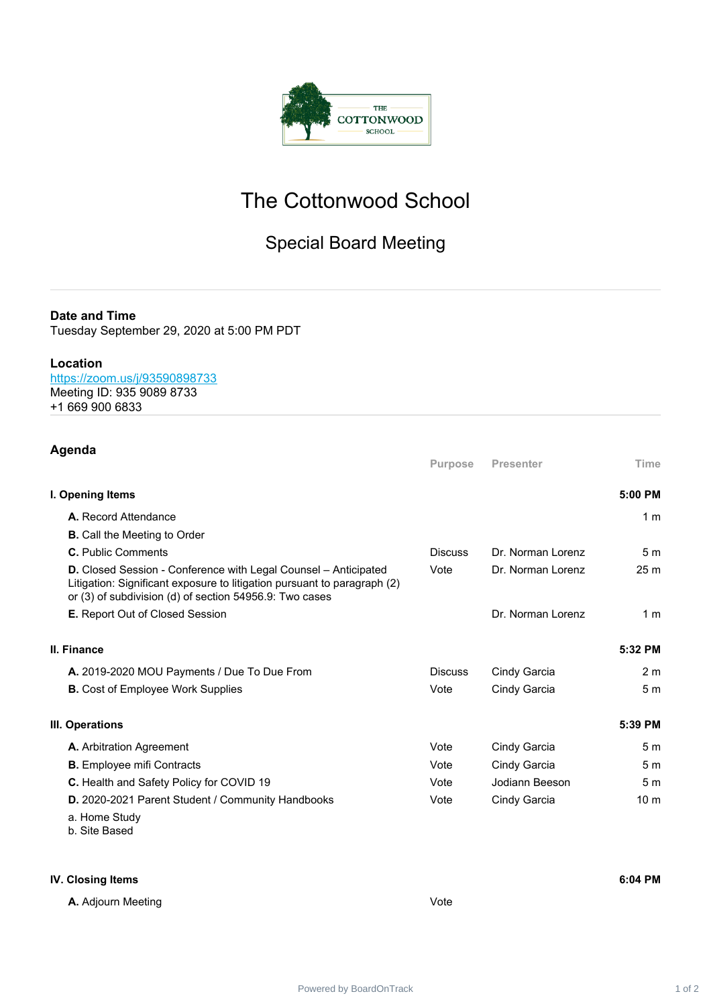

# The Cottonwood School

## Special Board Meeting

#### **Date and Time**

Tuesday September 29, 2020 at 5:00 PM PDT

#### **Location**

<https://zoom.us/j/93590898733>

- Meeting ID: 935 9089 8733
- +1 669 900 6833

### **Agenda**

|                                                                                                                                                                                                               | <b>Purpose</b> | <b>Presenter</b>  | Time            |
|---------------------------------------------------------------------------------------------------------------------------------------------------------------------------------------------------------------|----------------|-------------------|-----------------|
| I. Opening Items                                                                                                                                                                                              |                |                   | 5:00 PM         |
| A. Record Attendance                                                                                                                                                                                          |                |                   | 1 <sub>m</sub>  |
| <b>B.</b> Call the Meeting to Order                                                                                                                                                                           |                |                   |                 |
| C. Public Comments                                                                                                                                                                                            | <b>Discuss</b> | Dr. Norman Lorenz | 5 <sub>m</sub>  |
| <b>D.</b> Closed Session - Conference with Legal Counsel – Anticipated<br>Litigation: Significant exposure to litigation pursuant to paragraph (2)<br>or (3) of subdivision (d) of section 54956.9: Two cases | Vote           | Dr. Norman Lorenz | 25 <sub>m</sub> |
| E. Report Out of Closed Session                                                                                                                                                                               |                | Dr. Norman Lorenz | 1 <sub>m</sub>  |
| II. Finance                                                                                                                                                                                                   |                |                   | 5:32 PM         |
| A. 2019-2020 MOU Payments / Due To Due From                                                                                                                                                                   | <b>Discuss</b> | Cindy Garcia      | 2 <sub>m</sub>  |
| <b>B.</b> Cost of Employee Work Supplies                                                                                                                                                                      | Vote           | Cindy Garcia      | 5 <sub>m</sub>  |
| III. Operations                                                                                                                                                                                               |                |                   | 5:39 PM         |
| A. Arbitration Agreement                                                                                                                                                                                      | Vote           | Cindy Garcia      | 5 <sub>m</sub>  |
| <b>B.</b> Employee mifi Contracts                                                                                                                                                                             | Vote           | Cindy Garcia      | 5 <sub>m</sub>  |
| C. Health and Safety Policy for COVID 19                                                                                                                                                                      | Vote           | Jodiann Beeson    | 5 <sub>m</sub>  |
| D. 2020-2021 Parent Student / Community Handbooks<br>a. Home Study<br>b. Site Based                                                                                                                           | Vote           | Cindy Garcia      | 10 <sub>m</sub> |

#### **IV. Closing Items 6:04 PM**

**A.** Adjourn Meeting **Vote** Vote